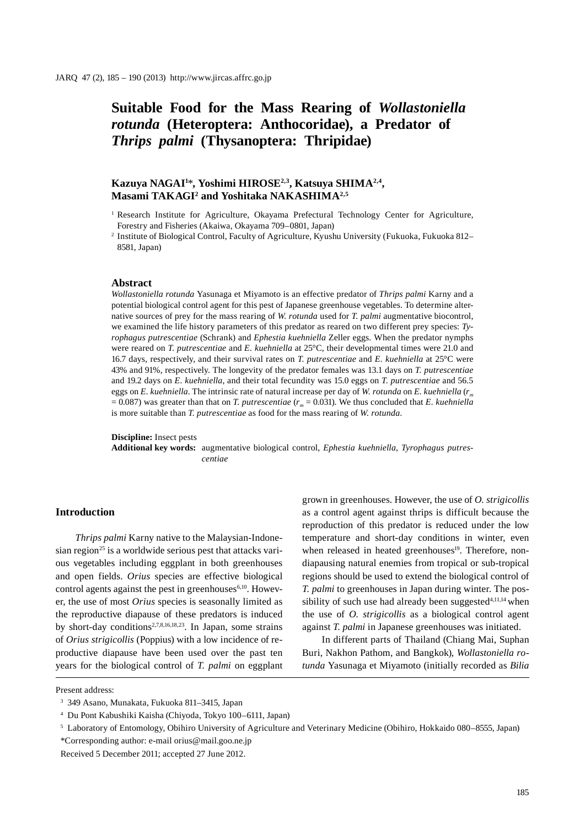# **Suitable Food for the Mass Rearing of** *Wollastoniella rotunda* **(Heteroptera: Anthocoridae), a Predator of**  *Thrips palmi* **(Thysanoptera: Thripidae)**

# **Kazuya NAGAI1** \***, Yoshimi HIROSE2,3, Katsuya SHIMA2,4, Masami TAKAGI2 and Yoshitaka NAKASHIMA2,5**

<sup>1</sup> Research Institute for Agriculture, Okayama Prefectural Technology Center for Agriculture, Forestry and Fisheries (Akaiwa, Okayama 709–0801, Japan)

<sup>2</sup> Institute of Biological Control, Faculty of Agriculture, Kyushu University (Fukuoka, Fukuoka 812– 8581, Japan)

### **Abstract**

*Wollastoniella rotunda* Yasunaga et Miyamoto is an effective predator of *Thrips palmi* Karny and a potential biological control agent for this pest of Japanese greenhouse vegetables. To determine alternative sources of prey for the mass rearing of *W. rotunda* used for *T. palmi* augmentative biocontrol, we examined the life history parameters of this predator as reared on two different prey species: *Tyrophagus putrescentiae* (Schrank) and *Ephestia kuehniella* Zeller eggs. When the predator nymphs were reared on *T. putrescentiae* and *E. kuehniella* at 25°C, their developmental times were 21.0 and 16.7 days, respectively, and their survival rates on *T. putrescentiae* and *E. kuehniella* at 25°C were 43% and 91%, respectively. The longevity of the predator females was 13.1 days on *T. putrescentiae*  and 19.2 days on *E. kuehniella*, and their total fecundity was 15.0 eggs on *T. putrescentiae* and 56.5 eggs on *E. kuehniella*. The intrinsic rate of natural increase per day of *W. rotunda* on *E. kuehniella* ( $r_m$  $= 0.087$ ) was greater than that on *T. putrescentiae* ( $r<sub>m</sub> = 0.031$ ). We thus concluded that *E. kuehniella* is more suitable than *T. putrescentiae* as food for the mass rearing of *W. rotunda*.

**Discipline:** Insect pests

**Additional key words:** augmentative biological control, *Ephestia kuehniella*, *Tyrophagus putrescentiae*

## **Introduction**

*Thrips palmi* Karny native to the Malaysian-Indonesian region<sup>25</sup> is a worldwide serious pest that attacks various vegetables including eggplant in both greenhouses and open fields. *Orius* species are effective biological control agents against the pest in greenhouses $6,10$ . However, the use of most *Orius* species is seasonally limited as the reproductive diapause of these predators is induced by short-day conditions<sup>2,7,8,16,18,23</sup>. In Japan, some strains of *Orius strigicollis* (Poppius) with a low incidence of reproductive diapause have been used over the past ten years for the biological control of *T. palmi* on eggplant

grown in greenhouses. However, the use of *O. strigicollis* as a control agent against thrips is difficult because the reproduction of this predator is reduced under the low temperature and short-day conditions in winter, even when released in heated greenhouses<sup>19</sup>. Therefore, nondiapausing natural enemies from tropical or sub-tropical regions should be used to extend the biological control of *T. palmi* to greenhouses in Japan during winter. The possibility of such use had already been suggested $4,11,14$  when the use of *O. strigicollis* as a biological control agent against *T. palmi* in Japanese greenhouses was initiated.

In different parts of Thailand (Chiang Mai, Suphan Buri, Nakhon Pathom, and Bangkok), *Wollastoniella rotunda* Yasunaga et Miyamoto (initially recorded as *Bilia*

Present address:

<sup>3</sup> 349 Asano, Munakata, Fukuoka 811–3415, Japan

<sup>4</sup> Du Pont Kabushiki Kaisha (Chiyoda, Tokyo 100–6111, Japan)

<sup>5</sup> Laboratory of Entomology, Obihiro University of Agriculture and Veterinary Medicine (Obihiro, Hokkaido 080–8555, Japan) \*Corresponding author: e-mail orius@mail.goo.ne.jp

Received 5 December 2011; accepted 27 June 2012.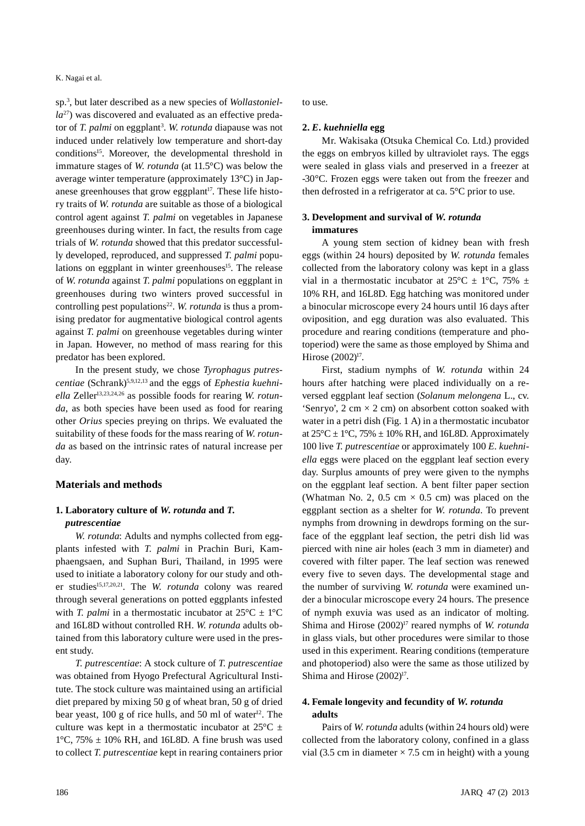#### K. Nagai et al.

sp.3 , but later described as a new species of *Wollastoniella*27) was discovered and evaluated as an effective predator of *T. palmi* on eggplant<sup>3</sup>. W. *rotunda* diapause was not induced under relatively low temperature and short-day conditions<sup>15</sup>. Moreover, the developmental threshold in immature stages of *W. rotunda* (at 11.5°C) was below the average winter temperature (approximately 13°C) in Japanese greenhouses that grow eggplant<sup>17</sup>. These life history traits of *W. rotunda* are suitable as those of a biological control agent against *T. palmi* on vegetables in Japanese greenhouses during winter. In fact, the results from cage trials of *W. rotunda* showed that this predator successfully developed, reproduced, and suppressed *T. palmi* populations on eggplant in winter greenhouses<sup>15</sup>. The release of *W. rotunda* against *T. palmi* populations on eggplant in greenhouses during two winters proved successful in controlling pest populations<sup>22</sup>. *W. rotunda* is thus a promising predator for augmentative biological control agents against *T. palmi* on greenhouse vegetables during winter in Japan. However, no method of mass rearing for this predator has been explored.

In the present study, we chose *Tyrophagus putrescentiae* (Schrank)5,9,12,13 and the eggs of *Ephestia kuehni*ella Zeller<sup>13,23,24,26</sup> as possible foods for rearing *W. rotunda*, as both species have been used as food for rearing other *Orius* species preying on thrips. We evaluated the suitability of these foods for the mass rearing of *W. rotunda* as based on the intrinsic rates of natural increase per day.

# **Materials and methods**

# **1. Laboratory culture of** *W. rotunda* **and** *T. putrescentiae*

*W. rotunda*: Adults and nymphs collected from eggplants infested with *T. palmi* in Prachin Buri, Kamphaengsaen, and Suphan Buri, Thailand, in 1995 were used to initiate a laboratory colony for our study and other studies<sup>15,17,20,21</sup>. The *W. rotunda* colony was reared through several generations on potted eggplants infested with *T. palmi* in a thermostatic incubator at  $25^{\circ}C \pm 1^{\circ}C$ and 16L8D without controlled RH. *W. rotunda* adults obtained from this laboratory culture were used in the present study.

*T. putrescentiae*: A stock culture of *T. putrescentiae* was obtained from Hyogo Prefectural Agricultural Institute. The stock culture was maintained using an artificial diet prepared by mixing 50 g of wheat bran, 50 g of dried bear yeast,  $100 \text{ g}$  of rice hulls, and  $50 \text{ ml}$  of water<sup>12</sup>. The culture was kept in a thermostatic incubator at  $25^{\circ}$ C  $\pm$  $1^{\circ}$ C, 75%  $\pm$  10% RH, and 16L8D. A fine brush was used to collect *T. putrescentiae* kept in rearing containers prior to use*.*

# **2.** *E. kuehniella* **egg**

Mr. Wakisaka (Otsuka Chemical Co. Ltd.) provided the eggs on embryos killed by ultraviolet rays. The eggs were sealed in glass vials and preserved in a freezer at -30°C. Frozen eggs were taken out from the freezer and then defrosted in a refrigerator at ca. 5°C prior to use.

# **3. Development and survival of** *W. rotunda*  **immatures**

A young stem section of kidney bean with fresh eggs (within 24 hours) deposited by *W. rotunda* females collected from the laboratory colony was kept in a glass vial in a thermostatic incubator at  $25^{\circ}\text{C} \pm 1^{\circ}\text{C}$ , 75%  $\pm$ 10% RH, and 16L8D. Egg hatching was monitored under a binocular microscope every 24 hours until 16 days after oviposition, and egg duration was also evaluated. This procedure and rearing conditions (temperature and photoperiod) were the same as those employed by Shima and Hirose (2002)<sup>17</sup>.

First, stadium nymphs of *W. rotunda* within 24 hours after hatching were placed individually on a reversed eggplant leaf section (*Solanum melongena* L., cv. 'Senryo',  $2 \text{ cm} \times 2 \text{ cm}$ ) on absorbent cotton soaked with water in a petri dish (Fig. 1 A) in a thermostatic incubator at  $25^{\circ}$ C ± 1°C, 75% ± 10% RH, and 16L8D. Approximately 100 live *T. putrescentiae* or approximately 100 *E. kuehniella* eggs were placed on the eggplant leaf section every day. Surplus amounts of prey were given to the nymphs on the eggplant leaf section. A bent filter paper section (Whatman No. 2, 0.5 cm  $\times$  0.5 cm) was placed on the eggplant section as a shelter for *W. rotunda*. To prevent nymphs from drowning in dewdrops forming on the surface of the eggplant leaf section, the petri dish lid was pierced with nine air holes (each 3 mm in diameter) and covered with filter paper. The leaf section was renewed every five to seven days. The developmental stage and the number of surviving *W. rotunda* were examined under a binocular microscope every 24 hours. The presence of nymph exuvia was used as an indicator of molting. Shima and Hirose (2002)<sup>17</sup> reared nymphs of *W. rotunda* in glass vials, but other procedures were similar to those used in this experiment. Rearing conditions (temperature and photoperiod) also were the same as those utilized by Shima and Hirose  $(2002)^{17}$ .

# **4. Female longevity and fecundity of** *W. rotunda*  **adults**

Pairs of *W. rotunda* adults (within 24 hours old) were collected from the laboratory colony, confined in a glass vial (3.5 cm in diameter  $\times$  7.5 cm in height) with a young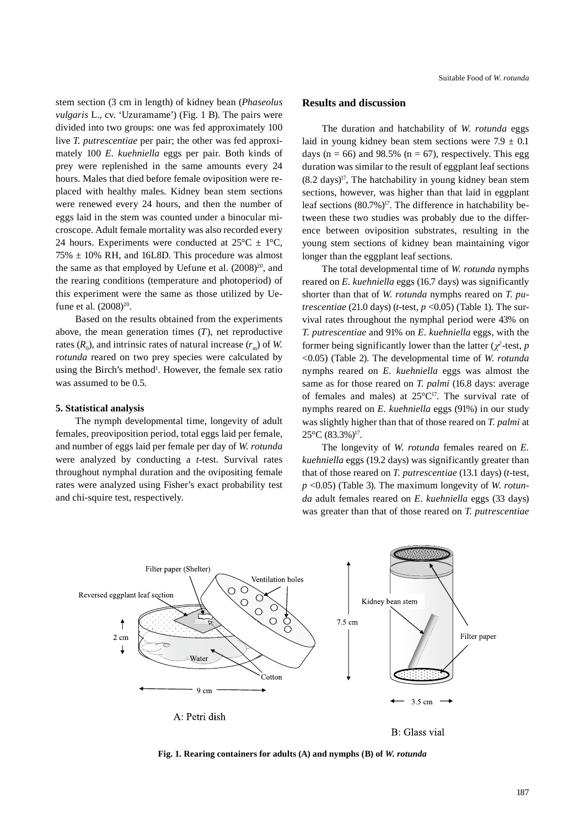stem section (3 cm in length) of kidney bean (*Phaseolus vulgaris* L., cv. 'Uzuramame') (Fig. 1 B). The pairs were divided into two groups: one was fed approximately 100 live *T. putrescentiae* per pair; the other was fed approximately 100 *E. kuehniella* eggs per pair*.* Both kinds of prey were replenished in the same amounts every 24 hours. Males that died before female oviposition were replaced with healthy males. Kidney bean stem sections were renewed every 24 hours, and then the number of eggs laid in the stem was counted under a binocular microscope. Adult female mortality was also recorded every 24 hours. Experiments were conducted at  $25^{\circ}\text{C} \pm 1^{\circ}\text{C}$ ,  $75\% \pm 10\%$  RH, and 16L8D. This procedure was almost the same as that employed by Uefune et al.  $(2008)^{20}$ , and the rearing conditions (temperature and photoperiod) of this experiment were the same as those utilized by Uefune et al. (2008)<sup>20</sup>.

Based on the results obtained from the experiments above, the mean generation times (*T*), net reproductive rates  $(R_0)$ , and intrinsic rates of natural increase  $(r_m)$  of *W*. *rotunda* reared on two prey species were calculated by using the Birch's method<sup>1</sup>. However, the female sex ratio was assumed to be 0.5.

#### **5. Statistical analysis**

The nymph developmental time, longevity of adult females, preoviposition period, total eggs laid per female, and number of eggs laid per female per day of *W. rotunda* were analyzed by conducting a *t*-test. Survival rates throughout nymphal duration and the ovipositing female rates were analyzed using Fisher's exact probability test and chi-squire test, respectively.

# **Results and discussion**

The duration and hatchability of *W. rotunda* eggs laid in young kidney bean stem sections were  $7.9 \pm 0.1$ days ( $n = 66$ ) and 98.5% ( $n = 67$ ), respectively. This egg duration was similar to the result of eggplant leaf sections  $(8.2 \text{ days})^{17}$ , The hatchability in young kidney bean stem sections, however, was higher than that laid in eggplant leaf sections  $(80.7\%)^{17}$ . The difference in hatchability between these two studies was probably due to the difference between oviposition substrates, resulting in the young stem sections of kidney bean maintaining vigor longer than the eggplant leaf sections.

The total developmental time of *W. rotunda* nymphs reared on *E. kuehniella* eggs (16.7 days) was significantly shorter than that of *W. rotunda* nymphs reared on *T. putrescentiae* (21.0 days) (*t*-test,  $p \le 0.05$ ) (Table 1). The survival rates throughout the nymphal period were 43% on *T. putrescentiae* and 91% on *E. kuehniella* eggs, with the former being significantly lower than the latter ( $\chi^2$ -test, *p* <0.05) (Table 2). The developmental time of *W. rotunda* nymphs reared on *E. kuehniella* eggs was almost the same as for those reared on *T. palmi* (16.8 days: average of females and males) at  $25^{\circ}C^{17}$ . The survival rate of nymphs reared on *E. kuehniella* eggs (91%) in our study was slightly higher than that of those reared on *T. palmi* at  $25^{\circ}$ C (83.3%)<sup>17</sup>.

The longevity of *W. rotunda* females reared on *E. kuehniella* eggs (19.2 days) was significantly greater than that of those reared on *T. putrescentiae* (13.1 days) (*t*-test, *p* <0.05) (Table 3). The maximum longevity of *W. rotunda* adult females reared on *E. kuehniella* eggs (33 days) was greater than that of those reared on *T. putrescentiae*



B: Glass vial

**Fig. 1. Rearing containers for adults (A) and nymphs (B) of** *W. rotunda*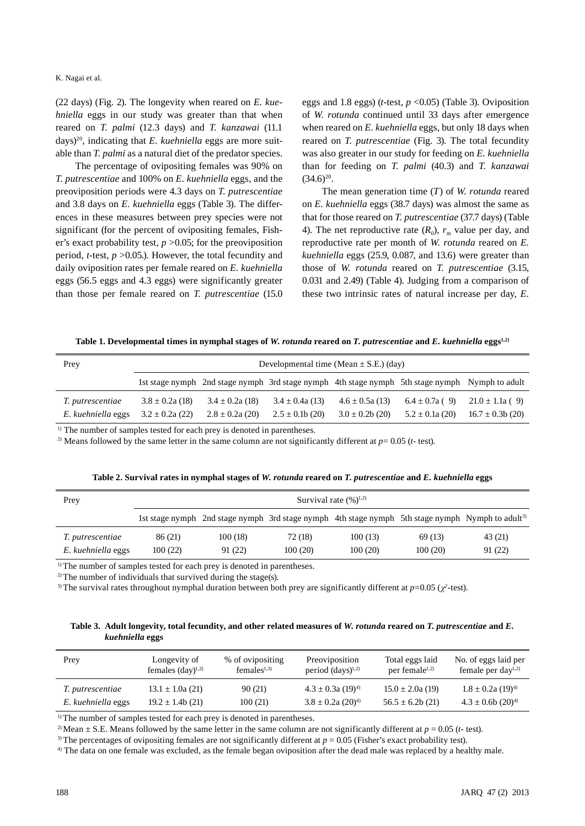K. Nagai et al.

(22 days) (Fig. 2). The longevity when reared on *E. kuehniella* eggs in our study was greater than that when reared on *T. palmi* (12.3 days) and *T. kanzawai* (11.1 days)20, indicating that *E. kuehniella* eggs are more suitable than *T. palmi* as a natural diet of the predator species.

The percentage of ovipositing females was 90% on *T. putrescentiae* and 100% on *E. kuehniella* eggs, and the preoviposition periods were 4.3 days on *T. putrescentiae* and 3.8 days on *E. kuehniella* eggs (Table 3). The differences in these measures between prey species were not significant (for the percent of ovipositing females, Fisher's exact probability test, *p* >0.05; for the preoviposition period, *t*-test, *p* >0.05.). However, the total fecundity and daily oviposition rates per female reared on *E. kuehniella* eggs (56.5 eggs and 4.3 eggs) were significantly greater than those per female reared on *T. putrescentiae* (15.0 eggs and 1.8 eggs) (*t*-test, *p* <0.05) (Table 3). Oviposition of *W. rotunda* continued until 33 days after emergence when reared on *E. kuehniella* eggs, but only 18 days when reared on *T. putrescentiae* (Fig. 3). The total fecundity was also greater in our study for feeding on *E. kuehniella* than for feeding on *T. palmi* (40.3) and *T. kanzawai*   $(34.6)^{20}$ .

The mean generation time (*T*) of *W. rotunda* reared on *E. kuehniella* eggs (38.7 days) was almost the same as that for those reared on *T. putrescentiae* (37.7 days) (Table 4). The net reproductive rate  $(R_0)$ ,  $r_m$  value per day, and reproductive rate per month of *W. rotunda* reared on *E. kuehniella* eggs (25.9, 0.087, and 13.6) were greater than those of *W. rotunda* reared on *T. putrescentiae* (3.15, 0.031 and 2.49) (Table 4). Judging from a comparison of these two intrinsic rates of natural increase per day, *E.* 

**Table 1. Developmental times in nymphal stages of** *W. rotunda* **reared on** *T. putrescentiae* **and** *E. kuehniella* **eggs1,2)**

| Prey               | Developmental time (Mean $\pm$ S.E.) (day) |                                                                                                |                    |                    |                    |                     |  |
|--------------------|--------------------------------------------|------------------------------------------------------------------------------------------------|--------------------|--------------------|--------------------|---------------------|--|
|                    |                                            | 1st stage nymph 2nd stage nymph 3rd stage nymph 4th stage nymph 5th stage nymph Nymph to adult |                    |                    |                    |                     |  |
| T. putrescentiae   | $3.8 \pm 0.2a(18)$                         | $3.4 \pm 0.2a(18)$                                                                             | $3.4 \pm 0.4a(13)$ | $4.6 \pm 0.5a(13)$ | $6.4 \pm 0.7a$ (9) | $21.0 \pm 1.1a$ (9) |  |
| E. kuehniella eggs | $3.2 \pm 0.2a(22)$                         | $2.8 \pm 0.2a$ (20)                                                                            | $2.5 \pm 0.1b(20)$ | $3.0 \pm 0.2b(20)$ | $5.2 \pm 0.1a(20)$ | $16.7 \pm 0.3b(20)$ |  |

<sup>1)</sup> The number of samples tested for each prey is denoted in parentheses.

<sup>2)</sup> Means followed by the same letter in the same column are not significantly different at  $p = 0.05$  ( $t$ - test).

| Prey               | Survival rate $(\frac{9}{6})^{1,2}$ |                                                                                                             |         |         |         |         |  |
|--------------------|-------------------------------------|-------------------------------------------------------------------------------------------------------------|---------|---------|---------|---------|--|
|                    |                                     | 1st stage nymph 2nd stage nymph 3rd stage nymph 4th stage nymph 5th stage nymph Nymph to adult <sup>3</sup> |         |         |         |         |  |
| T. putrescentiae   | 86 (21)                             | 100(18)                                                                                                     | 72 (18) | 100(13) | 69 (13) | 43 (21) |  |
| E. kuehniella eggs | 100(22)                             | 91 (22)                                                                                                     | 100(20) | 100(20) | 100(20) | 91 (22) |  |

**Table 2. Survival rates in nymphal stages of** *W. rotunda* **reared on** *T. putrescentiae* **and** *E. kuehniella* **eggs**

<sup>1)</sup> The number of samples tested for each prey is denoted in parentheses.

<sup>2)</sup> The number of individuals that survived during the stage(s).

<sup>3)</sup> The survival rates throughout nymphal duration between both prey are significantly different at  $p=0.05$  ( $\chi^2$ -test).

**Table 3. Adult longevity, total fecundity, and other related measures of** *W. rotunda* **reared on** *T. putrescentiae* **and** *E. kuehniella* **eggs**

| Prey               | Longevity of                 | % of ovipositing           | Preoviposition                    | Total eggs laid       | No. of eggs laid per              |
|--------------------|------------------------------|----------------------------|-----------------------------------|-----------------------|-----------------------------------|
|                    | females $(\text{day})^{1,2}$ | $f$ emales <sup>1,3)</sup> | period $(days)^{1,2}$             | per female $l^{1,2)}$ | female per day <sup>1,2)</sup>    |
| T. putrescentiae   | $13.1 \pm 1.0a(21)$          | 90 (21)                    | $4.3 \pm 0.3a$ (19) <sup>4)</sup> | $15.0 \pm 2.0a(19)$   | $1.8 \pm 0.2a$ (19) <sup>4)</sup> |
| E. kuehniella eggs | $19.2 \pm 1.4b(21)$          | 100(21)                    | $3.8 \pm 0.2a$ (20) <sup>4)</sup> | $56.5 \pm 6.2b(21)$   | $4.3 \pm 0.6b$ (20) <sup>4)</sup> |

<sup>1)</sup> The number of samples tested for each prey is denoted in parentheses.

<sup>2)</sup> Mean  $\pm$  S.E. Means followed by the same letter in the same column are not significantly different at  $p = 0.05$  (*t*- test).

3) The percentages of ovipositing females are not significantly different at *p* = 0.05 (Fisher's exact probability test).

<sup>4)</sup> The data on one female was excluded, as the female began oviposition after the dead male was replaced by a healthy male.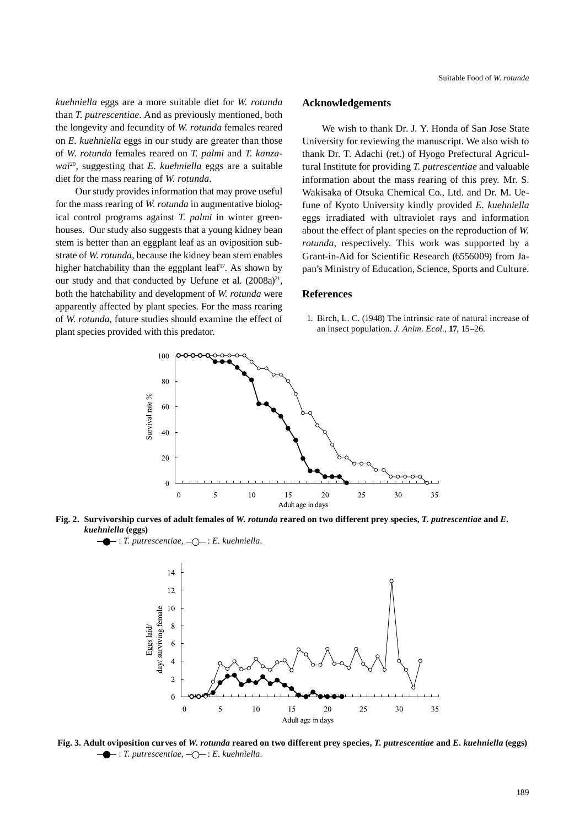*kuehniella* eggs are a more suitable diet for *W. rotunda* than *T. putrescentiae.* And as previously mentioned, both the longevity and fecundity of *W. rotunda* females reared on *E. kuehniella* eggs in our study are greater than those of *W. rotunda* females reared on *T. palmi* and *T. kanzawai*20, suggesting that *E. kuehniella* eggs are a suitable diet for the mass rearing of *W. rotunda*.

Our study provides information that may prove useful for the mass rearing of *W. rotunda* in augmentative biological control programs against *T. palmi* in winter greenhouses. Our study also suggests that a young kidney bean stem is better than an eggplant leaf as an oviposition substrate of *W. rotunda,* because the kidney bean stem enables higher hatchability than the eggplant leaf<sup>17</sup>. As shown by our study and that conducted by Uefune et al. (2008a)<sup>21</sup>, both the hatchability and development of *W. rotunda* were apparently affected by plant species. For the mass rearing of *W. rotunda*, future studies should examine the effect of plant species provided with this predator.

## **Acknowledgements**

We wish to thank Dr. J. Y. Honda of San Jose State University for reviewing the manuscript. We also wish to thank Dr. T. Adachi (ret.) of Hyogo Prefectural Agricultural Institute for providing *T. putrescentiae* and valuable information about the mass rearing of this prey*.* Mr. S. Wakisaka of Otsuka Chemical Co., Ltd. and Dr. M. Uefune of Kyoto University kindly provided *E. kuehniella* eggs irradiated with ultraviolet rays and information about the effect of plant species on the reproduction of *W. rotunda*, respectively. This work was supported by a Grant-in-Aid for Scientific Research (6556009) from Japan's Ministry of Education, Science, Sports and Culture.

## **References**

1. Birch, L. C. (1948) The intrinsic rate of natural increase of an insect population. *J. Anim. Ecol.,* **17**, 15–26.





 $\leftarrow$ : *T. putrescentiae*,  $\leftarrow$  *C*  $\leftarrow$  *: E. kuehniella.* 



**Fig. 3. Adult oviposition curves of** *W. rotunda* **reared on two different prey species,** *T. putrescentiae* **and** *E. kuehniella* **(eggs)**  $\leftarrow$ : *T. putrescentiae*,  $\leftarrow$ : *E. kuehniella.*